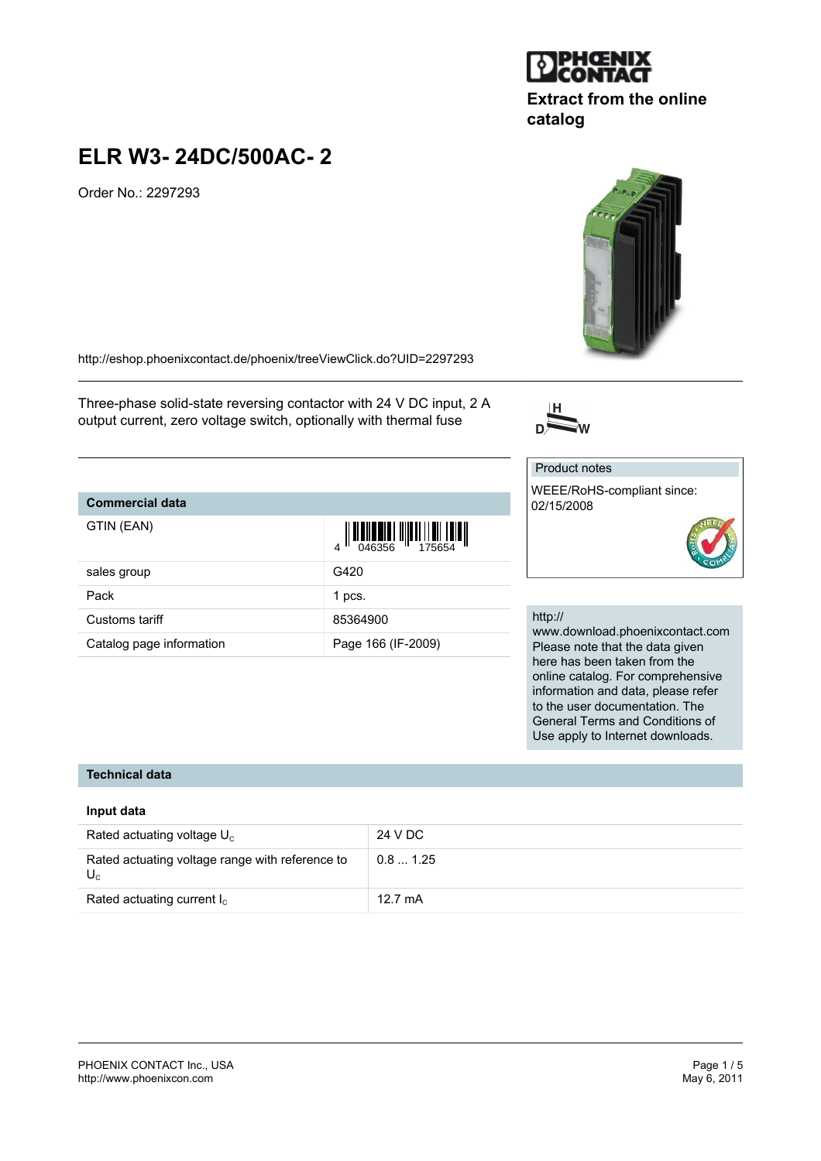#### PHOENIX CONTACT Inc., USA Page 1 / 5<br>
http://www.phoenixcon.com<br>
May 6, 2011 <http://www.phoenixcon.com>

### **ELR W3- 24DC/500AC- 2**

Order No.: 2297293

<http://eshop.phoenixcontact.de/phoenix/treeViewClick.do?UID=2297293>

Three-phase solid-state reversing contactor with 24 V DC input, 2 A output current, zero voltage switch, optionally with thermal fuse

### **Commercial data**

| GTIN (EAN)               | $\left\  \prod_{0.046356} \right\  \left\  \prod_{175654} \right\  \left\  \prod_{18844} \right\ $ |
|--------------------------|----------------------------------------------------------------------------------------------------|
| sales group              | G420                                                                                               |
| Pack                     | 1 pcs.                                                                                             |
| Customs tariff           | 85364900                                                                                           |
| Catalog page information | Page 166 (IF-2009)                                                                                 |

### http://

Product notes

02/15/2008

WEEE/RoHS-compliant since:

www.download.phoenixcontact.com Please note that the data given here has been taken from the online catalog. For comprehensive information and data, please refer to the user documentation. The General Terms and Conditions of Use apply to Internet downloads.

### **Technical data**

### **Input data**

| Rated actuating voltage $U_c$                            | 24 V DC           |
|----------------------------------------------------------|-------------------|
| Rated actuating voltage range with reference to<br>$U_c$ | 0.81.25           |
| Rated actuating current $I_c$                            | $12.7 \text{ mA}$ |





# **Extract from the online**

## **catalog**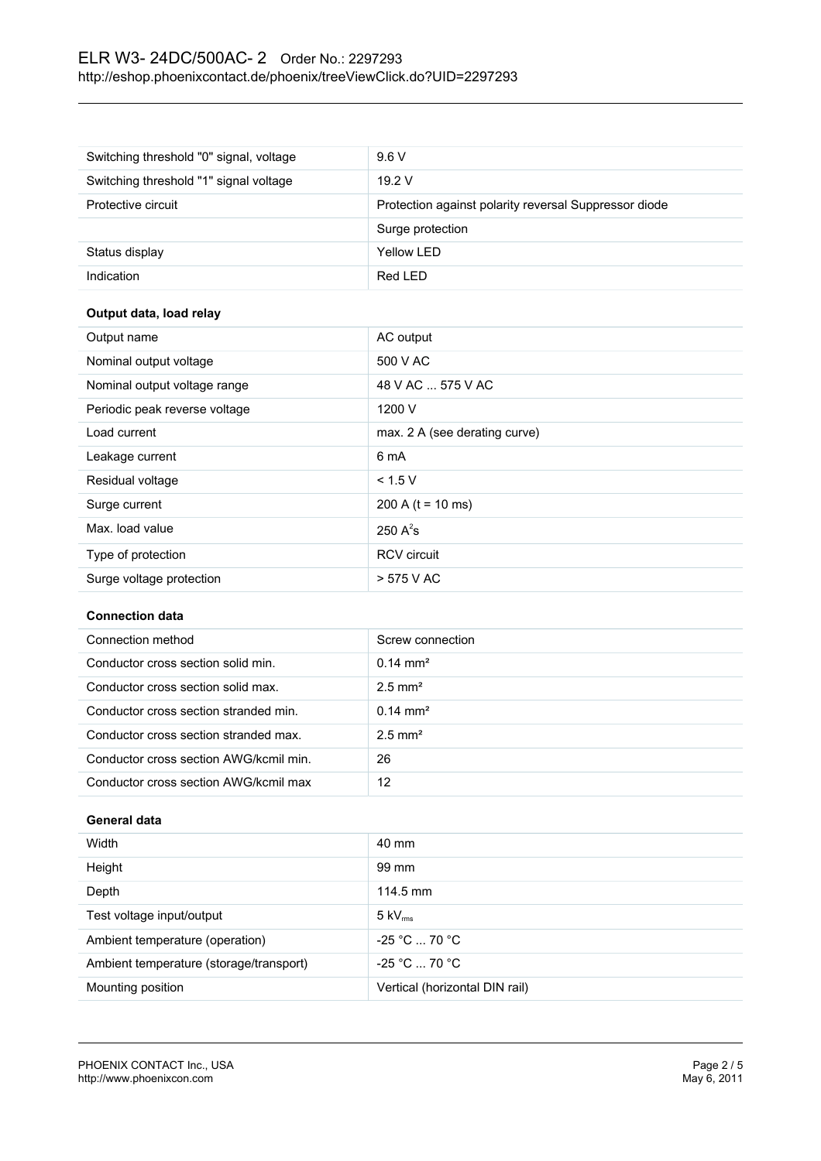### ELR W3- 24DC/500AC- 2 Order No.: 2297293 <http://eshop.phoenixcontact.de/phoenix/treeViewClick.do?UID=2297293>

| Switching threshold "0" signal, voltage | 9.6V                                                  |
|-----------------------------------------|-------------------------------------------------------|
| Switching threshold "1" signal voltage  | 19.2V                                                 |
| Protective circuit                      | Protection against polarity reversal Suppressor diode |
|                                         | Surge protection                                      |
| Status display                          | Yellow LED                                            |
| Indication                              | Red LED                                               |

### **Output data, load relay**

| Output name                   | AC output                     |
|-------------------------------|-------------------------------|
| Nominal output voltage        | 500 V AC                      |
| Nominal output voltage range  | 48 V AC  575 V AC             |
| Periodic peak reverse voltage | 1200 V                        |
| Load current                  | max. 2 A (see derating curve) |
| Leakage current               | 6 mA                          |
| Residual voltage              | < 1.5 V                       |
| Surge current                 | 200 A ( $t = 10$ ms)          |
| Max. load value               | 250 $A^2$ s                   |
| Type of protection            | <b>RCV</b> circuit            |
| Surge voltage protection      | > 575 V AC                    |

### **Connection data**

| Connection method                      | Screw connection      |
|----------------------------------------|-----------------------|
| Conductor cross section solid min.     | $0.14 \text{ mm}^2$   |
| Conductor cross section solid max.     | $2.5$ mm <sup>2</sup> |
| Conductor cross section stranded min.  | $0.14 \text{ mm}^2$   |
| Conductor cross section stranded max.  | $2.5$ mm <sup>2</sup> |
| Conductor cross section AWG/kcmil min. | 26                    |
| Conductor cross section AWG/kcmil max  | 12                    |

### **General data**

| Width                                   | 40 mm                          |
|-----------------------------------------|--------------------------------|
| Height                                  | 99 mm                          |
| Depth                                   | 114.5 mm                       |
| Test voltage input/output               | $5 \text{ kV}_{\text{rms}}$    |
| Ambient temperature (operation)         | $-25 °C  70 °C$                |
| Ambient temperature (storage/transport) | $-25 °C  70 °C$                |
| Mounting position                       | Vertical (horizontal DIN rail) |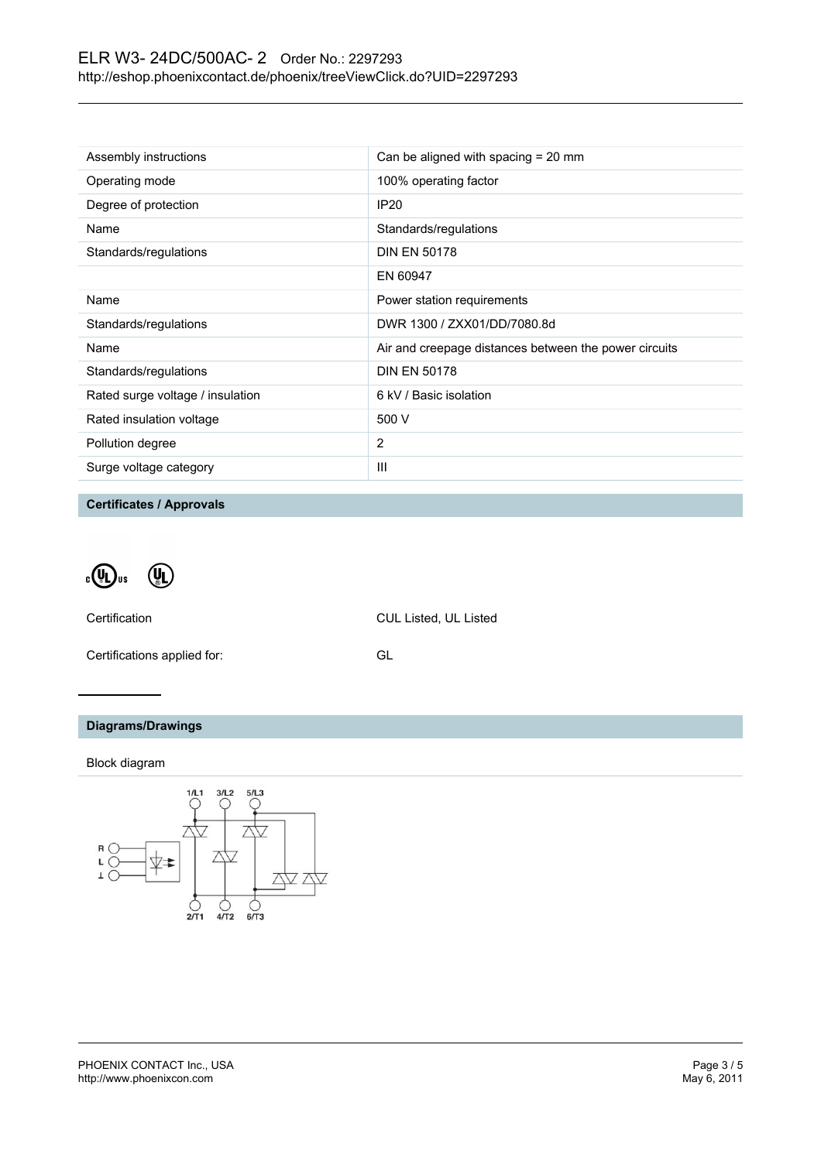| Assembly instructions            | Can be aligned with spacing $= 20$ mm                 |
|----------------------------------|-------------------------------------------------------|
| Operating mode                   | 100% operating factor                                 |
| Degree of protection             | <b>IP20</b>                                           |
| Name                             | Standards/regulations                                 |
| Standards/regulations            | <b>DIN EN 50178</b>                                   |
|                                  | EN 60947                                              |
| Name                             | Power station requirements                            |
| Standards/regulations            | DWR 1300 / ZXX01/DD/7080.8d                           |
| Name                             | Air and creepage distances between the power circuits |
| Standards/regulations            | <b>DIN EN 50178</b>                                   |
| Rated surge voltage / insulation | 6 kV / Basic isolation                                |
| Rated insulation voltage         | 500 V                                                 |
| Pollution degree                 | 2                                                     |
| Surge voltage category           | Ш                                                     |

**Certificates / Approvals**

 $\cdot \mathbb{Q}$ <sub>us</sub>  $\left(\begin{matrix} 0 \\ 0 \end{matrix}\right)$ 

Certification CUL Listed, UL Listed

Certifications applied for: GL

### **Diagrams/Drawings**

Block diagram

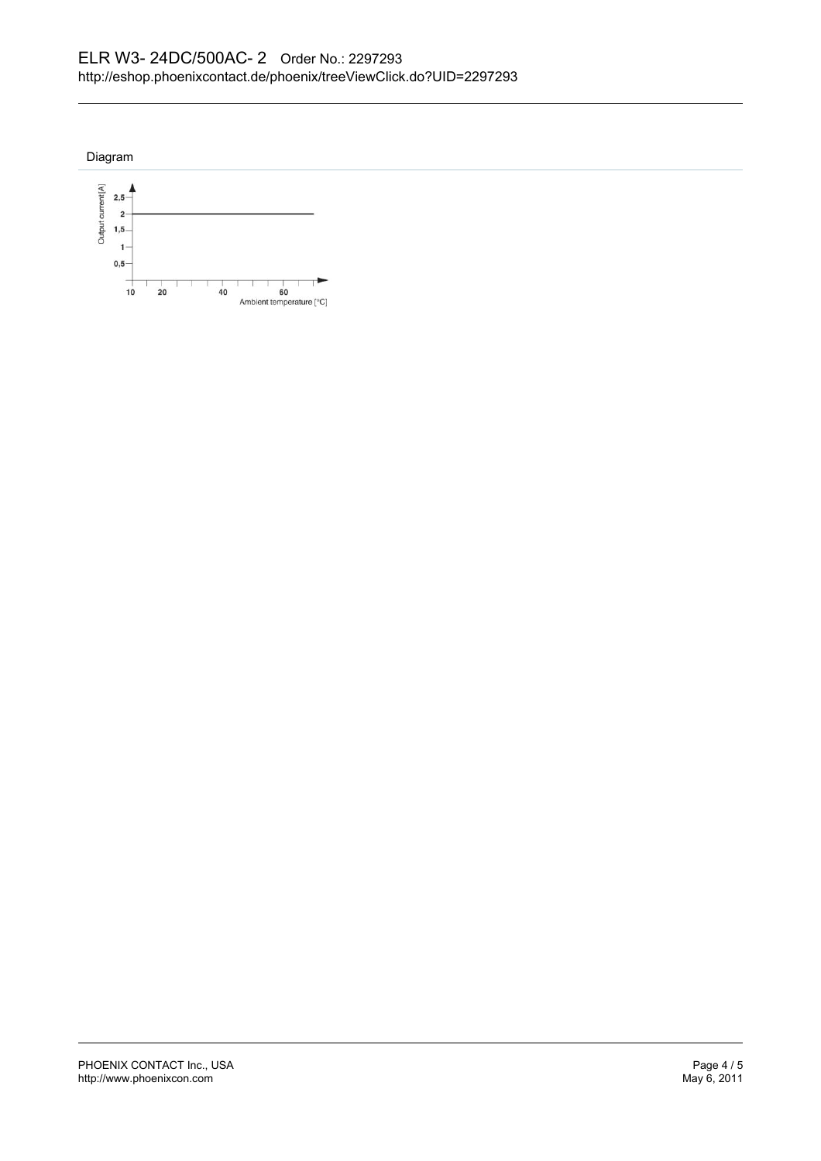